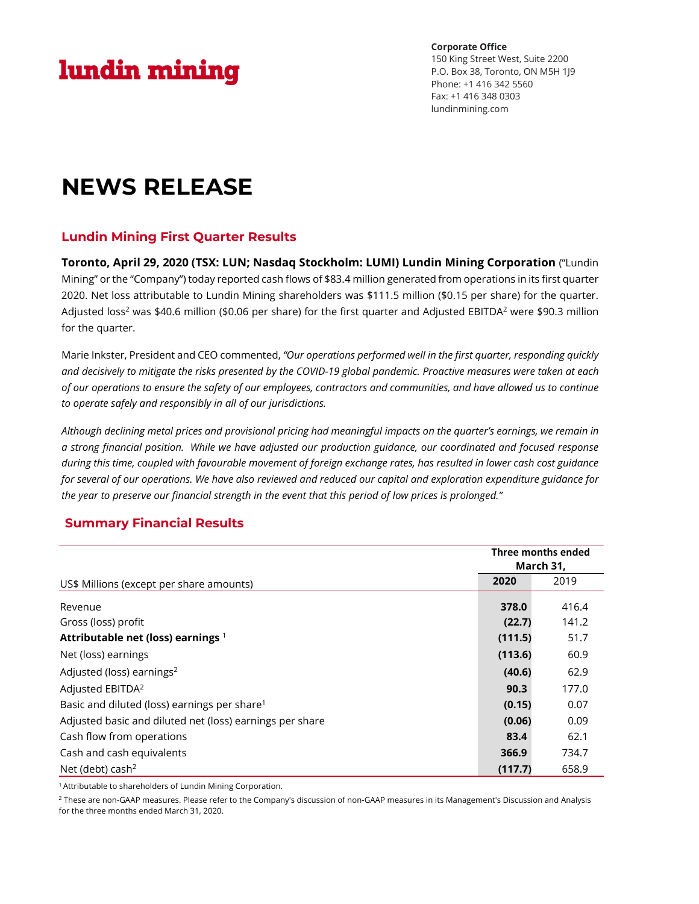# lundin mining

**Corporate Office** 150 King Street West, Suite 2200 P.O. Box 38, Toronto, ON M5H 1J9 Phone: +1 416 342 5560 Fax: +1 416 348 0303 lundinmining.com

# **NEWS RELEASE**

## **Lundin Mining First Quarter Results**

**Toronto, April 29, 2020 (TSX: LUN; Nasdaq Stockholm: LUMI) Lundin Mining Corporation** ("Lundin Mining" or the "Company") today reported cash flows of \$83.4 million generated from operations in its first quarter 2020. Net loss attributable to Lundin Mining shareholders was \$111.5 million (\$0.15 per share) for the quarter. Adjusted loss<sup>2</sup> was \$40.6 million (\$0.06 per share) for the first quarter and Adjusted EBITDA<sup>2</sup> were \$90.3 million for the quarter.

Marie Inkster, President and CEO commented, *"Our operations performed well in the first quarter, responding quickly* and decisively to mitigate the risks presented by the COVID-19 global pandemic. Proactive measures were taken at each of our operations to ensure the safety of our employees, contractors and communities, and have allowed us to continue *to operate safely and responsibly in all of our jurisdictions.*

Although declining metal prices and provisional pricing had meaningful impacts on the quarter's earnings, we remain in a strong financial position. While we have adjusted our production guidance, our coordinated and focused response during this time, coupled with favourable movement of foreign exchange rates, has resulted in lower cash cost guidance for several of our operations. We have also reviewed and reduced our capital and exploration expenditure guidance for the year to preserve our financial strength in the event that this period of low prices is prolonged."

## **Summary Financial Results**

|                                                          | Three months ended<br>March 31, |       |
|----------------------------------------------------------|---------------------------------|-------|
| US\$ Millions (except per share amounts)                 | 2020                            | 2019  |
| Revenue                                                  | 378.0                           | 416.4 |
| Gross (loss) profit                                      | (22.7)                          | 141.2 |
| Attributable net (loss) earnings 1                       | (111.5)                         | 51.7  |
| Net (loss) earnings                                      | (113.6)                         | 60.9  |
| Adjusted (loss) earnings <sup>2</sup>                    | (40.6)                          | 62.9  |
| Adjusted EBITDA <sup>2</sup>                             | 90.3                            | 177.0 |
| Basic and diluted (loss) earnings per share <sup>1</sup> | (0.15)                          | 0.07  |
| Adjusted basic and diluted net (loss) earnings per share | (0.06)                          | 0.09  |
| Cash flow from operations                                | 83.4                            | 62.1  |
| Cash and cash equivalents                                | 366.9                           | 734.7 |
| Net (debt) cash <sup>2</sup>                             | (117.7)                         | 658.9 |

<sup>1</sup> Attributable to shareholders of Lundin Mining Corporation.

<sup>2</sup> These are non-GAAP measures. Please refer to the Company's discussion of non-GAAP measures in its Management's Discussion and Analysis for the three months ended March 31, 2020.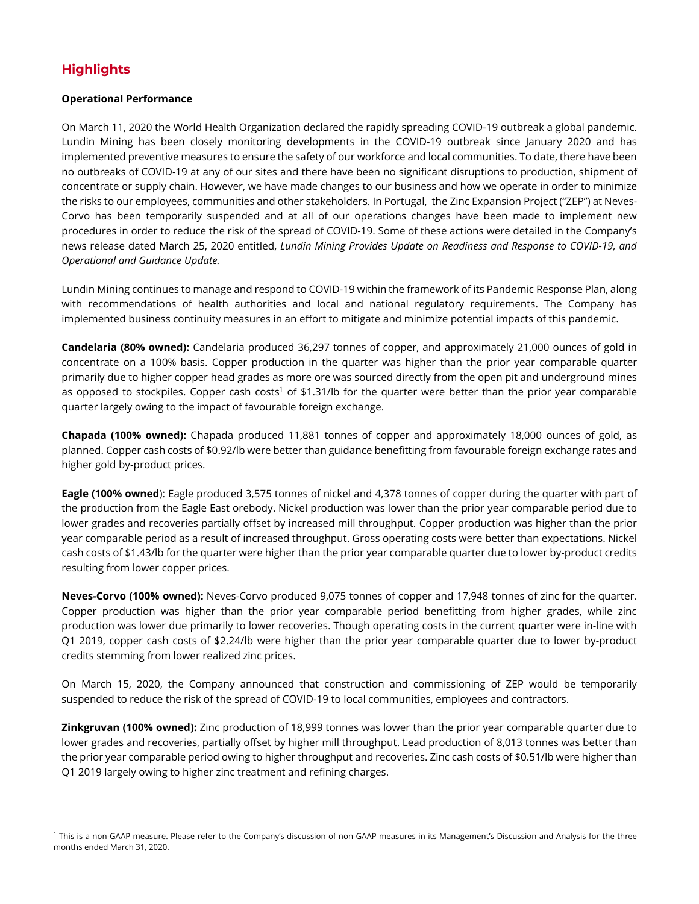## **Highlights**

## **Operational Performance**

On March 11, 2020 the World Health Organization declared the rapidly spreading COVID-19 outbreak a global pandemic. Lundin Mining has been closely monitoring developments in the COVID-19 outbreak since January 2020 and has implemented preventive measures to ensure the safety of our workforce and local communities. To date, there have been no outbreaks of COVID-19 at any of our sites and there have been no significant disruptions to production, shipment of concentrate or supply chain. However, we have made changes to our business and how we operate in order to minimize the risks to our employees, communities and other stakeholders. In Portugal, the Zinc Expansion Project ("ZEP") at Neves-Corvo has been temporarily suspended and at all of our operations changes have been made to implement new procedures in order to reduce the risk of the spread of COVID-19. Some of these actions were detailed in the Company's news release dated March 25, 2020 entitled, *Lundin Mining Provides Update on Readiness and Response to COVID-19, and Operational and Guidance Update.*

Lundin Mining continues to manage and respond to COVID-19 within the framework of its Pandemic Response Plan, along with recommendations of health authorities and local and national regulatory requirements. The Company has implemented business continuity measures in an effort to mitigate and minimize potential impacts of this pandemic.

**Candelaria (80% owned):** Candelaria produced 36,297 tonnes of copper, and approximately 21,000 ounces of gold in concentrate on a 100% basis. Copper production in the quarter was higher than the prior year comparable quarter primarily due to higher copper head grades as more ore was sourced directly from the open pit and underground mines as opposed to stockpiles. Copper cash costs<sup>1</sup> of \$1.31/lb for the quarter were better than the prior year comparable quarter largely owing to the impact of favourable foreign exchange.

**Chapada (100% owned):** Chapada produced 11,881 tonnes of copper and approximately 18,000 ounces of gold, as planned. Copper cash costs of \$0.92/lb were better than guidance benefitting from favourable foreign exchange rates and higher gold by-product prices.

**Eagle (100% owned**): Eagle produced 3,575 tonnes of nickel and 4,378 tonnes of copper during the quarter with part of the production from the Eagle East orebody. Nickel production was lower than the prior year comparable period due to lower grades and recoveries partially offset by increased mill throughput. Copper production was higher than the prior year comparable period as a result of increased throughput. Gross operating costs were better than expectations. Nickel cash costs of \$1.43/lb for the quarter were higher than the prior year comparable quarter due to lower by-product credits resulting from lower copper prices.

**Neves-Corvo (100% owned):** Neves-Corvo produced 9,075 tonnes of copper and 17,948 tonnes of zinc for the quarter. Copper production was higher than the prior year comparable period benefitting from higher grades, while zinc production was lower due primarily to lower recoveries. Though operating costs in the current quarter were in-line with Q1 2019, copper cash costs of \$2.24/lb were higher than the prior year comparable quarter due to lower by-product credits stemming from lower realized zinc prices.

On March 15, 2020, the Company announced that construction and commissioning of ZEP would be temporarily suspended to reduce the risk of the spread of COVID-19 to local communities, employees and contractors.

**Zinkgruvan (100% owned):** Zinc production of 18,999 tonnes was lower than the prior year comparable quarter due to lower grades and recoveries, partially offset by higher mill throughput. Lead production of 8,013 tonnes was better than the prior year comparable period owing to higher throughput and recoveries. Zinc cash costs of \$0.51/lb were higher than Q1 2019 largely owing to higher zinc treatment and refining charges.

<sup>1</sup> This is a non-GAAP measure. Please refer to the Company's discussion of non-GAAP measures in its Management's Discussion and Analysis for the three months ended March 31, 2020.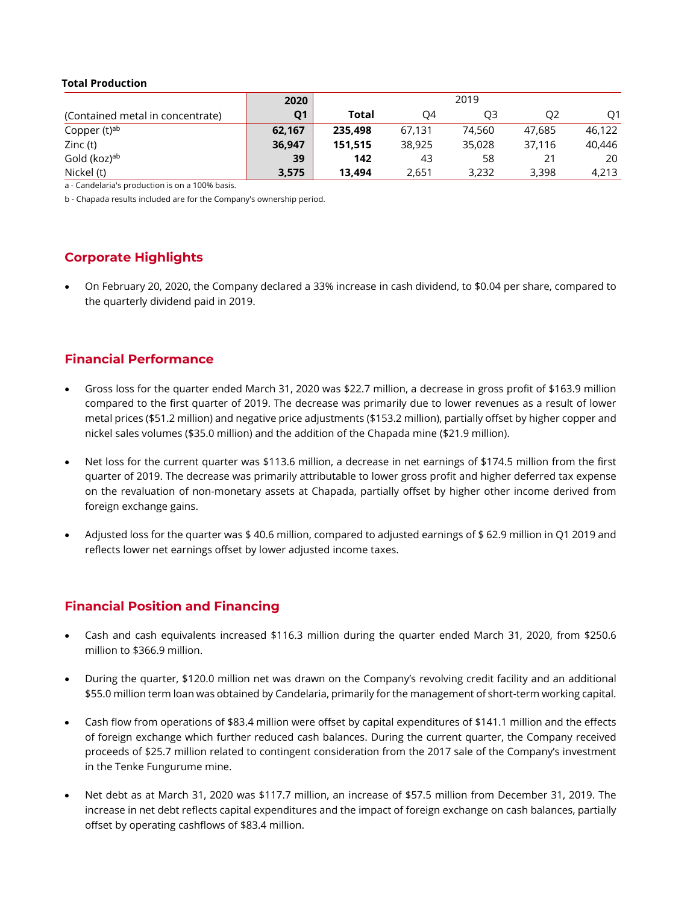### **Total Production**

|                                  | 2020           | 2019    |        |        |        |        |
|----------------------------------|----------------|---------|--------|--------|--------|--------|
| (Contained metal in concentrate) | Q <sub>1</sub> | Total   | O4     | O3     | Ο2     | O1     |
| Copper (t) <sup>ab</sup>         | 62.167         | 235,498 | 67.131 | 74,560 | 47.685 | 46.122 |
| Zinc (t)                         | 36,947         | 151.515 | 38,925 | 35,028 | 37.116 | 40.446 |
| Gold (koz) <sup>ab</sup>         | 39             | 142     | 43     | 58     |        | 20     |
| Nickel (t)                       | 3,575          | 13.494  | 2,651  | 3,232  | 3,398  | 4,213  |

a - Candelaria's production is on a 100% basis.

b - Chapada results included are for the Company's ownership period.

## **Corporate Highlights**

• On February 20, 2020, the Company declared a 33% increase in cash dividend, to \$0.04 per share, compared to the quarterly dividend paid in 2019.

## **Financial Performance**

- Gross loss for the quarter ended March 31, 2020 was \$22.7 million, a decrease in gross profit of \$163.9 million compared to the first quarter of 2019. The decrease was primarily due to lower revenues as a result of lower metal prices (\$51.2 million) and negative price adjustments (\$153.2 million), partially offset by higher copper and nickel sales volumes (\$35.0 million) and the addition of the Chapada mine (\$21.9 million).
- Net loss for the current quarter was \$113.6 million, a decrease in net earnings of \$174.5 million from the first quarter of 2019. The decrease was primarily attributable to lower gross profit and higher deferred tax expense on the revaluation of non-monetary assets at Chapada, partially offset by higher other income derived from foreign exchange gains.
- Adjusted loss for the quarter was \$ 40.6 million, compared to adjusted earnings of \$ 62.9 million in Q1 2019 and reflects lower net earnings offset by lower adjusted income taxes.

## **Financial Position and Financing**

- Cash and cash equivalents increased \$116.3 million during the quarter ended March 31, 2020, from \$250.6 million to \$366.9 million.
- During the quarter, \$120.0 million net was drawn on the Company's revolving credit facility and an additional \$55.0 million term loan was obtained by Candelaria, primarily for the management of short-term working capital.
- Cash flow from operations of \$83.4 million were offset by capital expenditures of \$141.1 million and the effects of foreign exchange which further reduced cash balances. During the current quarter, the Company received proceeds of \$25.7 million related to contingent consideration from the 2017 sale of the Company's investment in the Tenke Fungurume mine.
- Net debt as at March 31, 2020 was \$117.7 million, an increase of \$57.5 million from December 31, 2019. The increase in net debt reflects capital expenditures and the impact of foreign exchange on cash balances, partially offset by operating cashflows of \$83.4 million.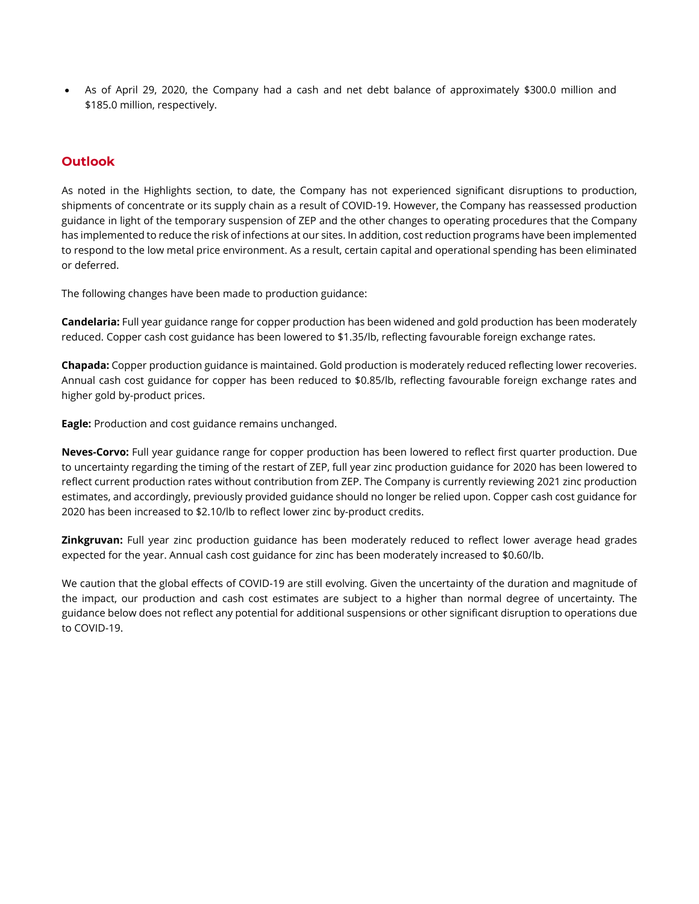• As of April 29, 2020, the Company had a cash and net debt balance of approximately \$300.0 million and \$185.0 million, respectively.

## **Outlook**

As noted in the Highlights section, to date, the Company has not experienced significant disruptions to production, shipments of concentrate or its supply chain as a result of COVID-19. However, the Company has reassessed production guidance in light of the temporary suspension of ZEP and the other changes to operating procedures that the Company has implemented to reduce the risk of infections at our sites. In addition, cost reduction programs have been implemented to respond to the low metal price environment. As a result, certain capital and operational spending has been eliminated or deferred.

The following changes have been made to production guidance:

**Candelaria:** Full year guidance range for copper production has been widened and gold production has been moderately reduced. Copper cash cost guidance has been lowered to \$1.35/lb, reflecting favourable foreign exchange rates.

**Chapada:** Copper production guidance is maintained. Gold production is moderately reduced reflecting lower recoveries. Annual cash cost guidance for copper has been reduced to \$0.85/lb, reflecting favourable foreign exchange rates and higher gold by-product prices.

**Eagle:** Production and cost guidance remains unchanged.

**Neves-Corvo:** Full year guidance range for copper production has been lowered to reflect first quarter production. Due to uncertainty regarding the timing of the restart of ZEP, full year zinc production guidance for 2020 has been lowered to reflect current production rates without contribution from ZEP. The Company is currently reviewing 2021 zinc production estimates, and accordingly, previously provided guidance should no longer be relied upon. Copper cash cost guidance for 2020 has been increased to \$2.10/lb to reflect lower zinc by-product credits.

**Zinkgruvan:** Full year zinc production guidance has been moderately reduced to reflect lower average head grades expected for the year. Annual cash cost guidance for zinc has been moderately increased to \$0.60/lb.

We caution that the global effects of COVID-19 are still evolving. Given the uncertainty of the duration and magnitude of the impact, our production and cash cost estimates are subject to a higher than normal degree of uncertainty. The guidance below does not reflect any potential for additional suspensions or other significant disruption to operations due to COVID-19.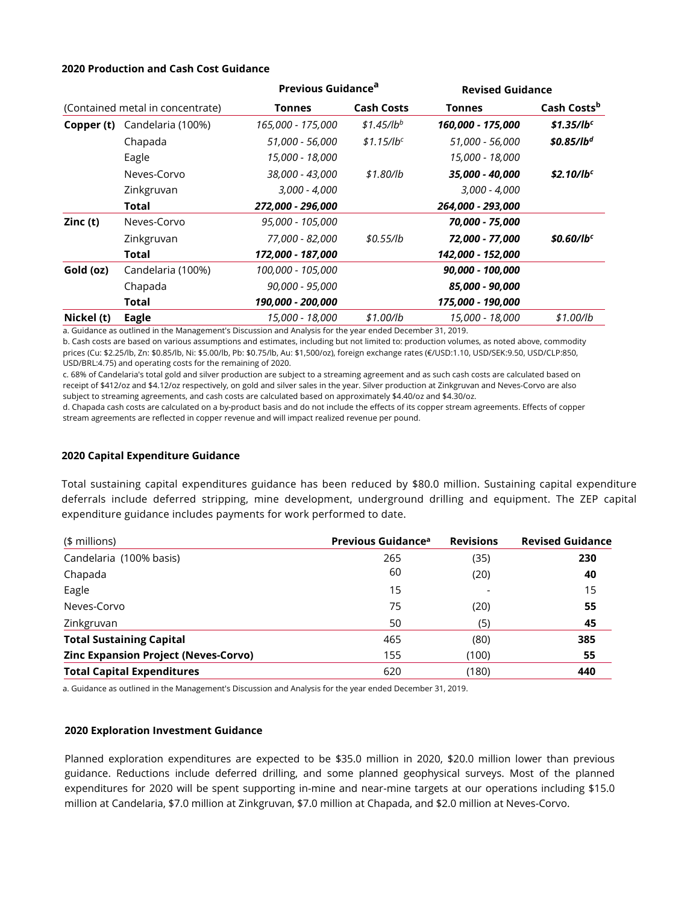#### **2020 Production and Cash Cost Guidance**

|                                  |                   | Previous Guidance <sup>a</sup> |                   | <b>Revised Guidance</b> |                        |  |
|----------------------------------|-------------------|--------------------------------|-------------------|-------------------------|------------------------|--|
| (Contained metal in concentrate) |                   | Tonnes                         | <b>Cash Costs</b> | <b>Tonnes</b>           | Cash Costsb            |  |
| Copper (t)                       | Candelaria (100%) | 165,000 - 175,000              | $$1.45/lb^{b}$    | 160,000 - 175,000       | \$1.35/lb <sup>c</sup> |  |
|                                  | Chapada           | 51,000 - 56,000                | $$1.15$ /lbc      | 51,000 - 56,000         | \$0.85/lb <sup>d</sup> |  |
|                                  | Eagle             | 15,000 - 18,000                |                   | 15,000 - 18,000         |                        |  |
|                                  | Neves-Corvo       | 38,000 - 43,000                | \$1.80/lb         | 35,000 - 40,000         | \$2.10/1b <sup>c</sup> |  |
|                                  | Zinkgruvan        | $3,000 - 4,000$                |                   | $3,000 - 4,000$         |                        |  |
|                                  | Total             | 272,000 - 296,000              |                   | 264,000 - 293,000       |                        |  |
| Zinc (t)                         | Neves-Corvo       | 95,000 - 105,000               |                   | 70,000 - 75,000         |                        |  |
|                                  | Zinkgruvan        | 77,000 - 82,000                | \$0.55/lb         | 72,000 - 77,000         | \$0.60/1b <sup>c</sup> |  |
|                                  | Total             | 172,000 - 187,000              |                   | 142,000 - 152,000       |                        |  |
| Gold (oz)                        | Candelaria (100%) | 100,000 - 105,000              |                   | 90,000 - 100,000        |                        |  |
|                                  | Chapada           | 90,000 - 95,000                |                   | 85,000 - 90,000         |                        |  |
|                                  | Total             | 190,000 - 200,000              |                   | 175,000 - 190,000       |                        |  |
| Nickel (t)                       | Eagle             | 15,000 - 18,000                | \$1.00/lb         | 15,000 - 18,000         | \$1.00/lb              |  |

a. Guidance as outlined in the Management's Discussion and Analysis for the year ended December 31, 2019.

b. Cash costs are based on various assumptions and estimates, including but not limited to: production volumes, as noted above, commodity prices (Cu: \$2.25/lb, Zn: \$0.85/lb, Ni: \$5.00/lb, Pb: \$0.75/lb, Au: \$1,500/oz), foreign exchange rates (€/USD:1.10, USD/SEK:9.50, USD/CLP:850, USD/BRL:4.75) and operating costs for the remaining of 2020.

c. 68% of Candelaria's total gold and silver production are subject to a streaming agreement and as such cash costs are calculated based on receipt of \$412/oz and \$4.12/oz respectively, on gold and silver sales in the year. Silver production at Zinkgruvan and Neves-Corvo are also subject to streaming agreements, and cash costs are calculated based on approximately \$4.40/oz and \$4.30/oz.

d. Chapada cash costs are calculated on a by-product basis and do not include the effects of its copper stream agreements. Effects of copper stream agreements are reflected in copper revenue and will impact realized revenue per pound.

### **2020 Capital Expenditure Guidance**

Total sustaining capital expenditures guidance has been reduced by \$80.0 million. Sustaining capital expenditure deferrals include deferred stripping, mine development, underground drilling and equipment. The ZEP capital expenditure guidance includes payments for work performed to date.

| (\$ millions)                               | Previous Guidance <sup>a</sup> | <b>Revisions</b> | <b>Revised Guidance</b> |
|---------------------------------------------|--------------------------------|------------------|-------------------------|
| Candelaria (100% basis)                     | 265                            | (35)             | 230                     |
| Chapada                                     | 60                             | (20)             | 40                      |
| Eagle                                       | 15                             |                  | 15                      |
| Neves-Corvo                                 | 75                             | (20)             | 55                      |
| Zinkgruvan                                  | 50                             | (5)              | 45                      |
| <b>Total Sustaining Capital</b>             | 465                            | (80)             | 385                     |
| <b>Zinc Expansion Project (Neves-Corvo)</b> | 155                            | (100)            | 55                      |
| <b>Total Capital Expenditures</b>           | 620                            | (180)            | 440                     |

a. Guidance as outlined in the Management's Discussion and Analysis for the year ended December 31, 2019.

#### **2020 Exploration Investment Guidance**

Planned exploration expenditures are expected to be \$35.0 million in 2020, \$20.0 million lower than previous guidance. Reductions include deferred drilling, and some planned geophysical surveys. Most of the planned expenditures for 2020 will be spent supporting in-mine and near-mine targets at our operations including \$15.0 million at Candelaria, \$7.0 million at Zinkgruvan, \$7.0 million at Chapada, and \$2.0 million at Neves-Corvo.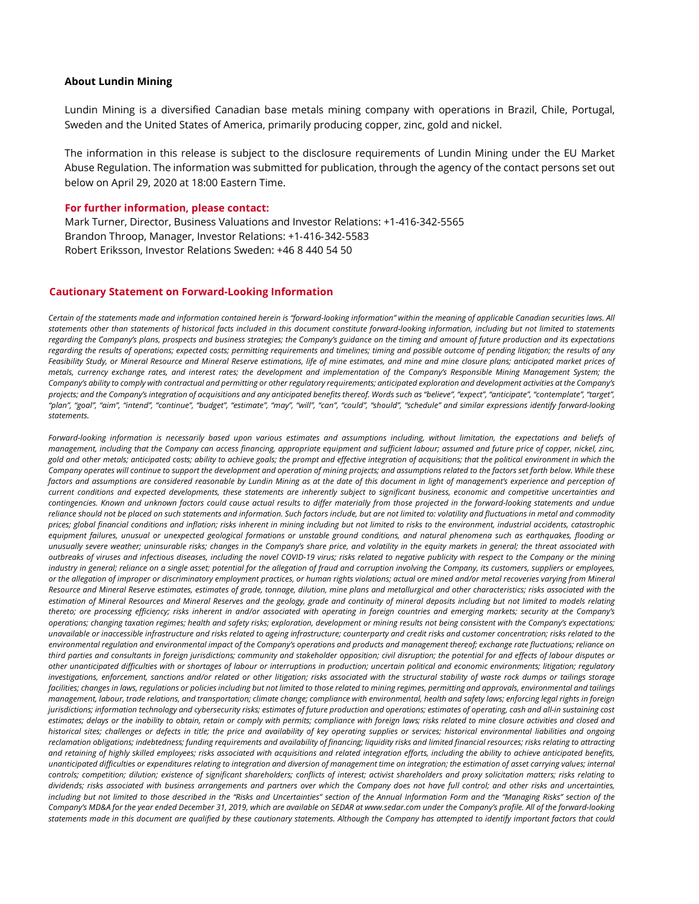#### **About Lundin Mining**

Lundin Mining is a diversified Canadian base metals mining company with operations in Brazil, Chile, Portugal, Sweden and the United States of America, primarily producing copper, zinc, gold and nickel.

The information in this release is subject to the disclosure requirements of Lundin Mining under the EU Market Abuse Regulation. The information was submitted for publication, through the agency of the contact persons set out below on April 29, 2020 at 18:00 Eastern Time.

#### **For further information, please contact:**

Mark Turner, Director, Business Valuations and Investor Relations: +1-416-342-5565 Brandon Throop, Manager, Investor Relations: +1‐416‐342‐5583 Robert Eriksson, Investor Relations Sweden: +46 8 440 54 50

#### **Cautionary Statement on Forward-Looking Information**

Certain of the statements made and information contained herein is "forward-looking information" within the meaning of applicable Canadian securities laws. All statements other than statements of historical facts included in this document constitute forward-looking information, including but not limited to statements regarding the Company's plans, prospects and business strategies; the Company's guidance on the timing and amount of future production and its expectations regarding the results of operations; expected costs; permitting requirements and timelines; timing and possible outcome of pending litigation; the results of any Feasibility Study, or Mineral Resource and Mineral Reserve estimations, life of mine estimates, and mine and mine closure plans; anticipated market prices of metals, currency exchange rates, and interest rates; the development and implementation of the Company's Responsible Mining Management System; the Company's ability to comply with contractual and permitting or other regulatory requirements; anticipated exploration and development activities at the Company's projects; and the Company's integration of acquisitions and any anticipated benefits thereof. Words such as "believe", "expect", "anticipate", "contemplate", "target", "plan", "goal", "aim", "intend", "continue", "budget", "estimate", "may", "will", "can", "could", "should", "schedule" and similar expressions identify forward-looking *statements.*

Forward-looking information is necessarily based upon various estimates and assumptions including, without limitation, the expectations and beliefs of management, including that the Company can access financing, appropriate equipment and sufficient labour; assumed and future price of copper, nickel, zinc, gold and other metals; anticipated costs; ability to achieve goals; the prompt and effective integration of acquisitions; that the political environment in which the Company operates will continue to support the development and operation of mining projects; and assumptions related to the factors set forth below. While these factors and assumptions are considered reasonable by Lundin Mining as at the date of this document in light of management's experience and perception of .<br>current conditions and expected developments, these statements are inherently subject to significant business, economic and competitive uncertainties and contingencies. Known and unknown factors could cause actual results to differ materially from those projected in the forward-looking statements and undue reliance should not be placed on such statements and information. Such factors include, but are not limited to: volatility and fluctuations in metal and commodity prices; global financial conditions and inflation; risks inherent in mining including but not limited to risks to the environment, industrial accidents, catastrophic equipment failures, unusual or unexpected geological formations or unstable ground conditions, and natural phenomena such as earthquakes, flooding or unusually severe weather; uninsurable risks; changes in the Company's share price, and volatility in the equity markets in general; the threat associated with outbreaks of viruses and infectious diseases, including the novel COVID-19 virus; risks related to negative publicity with respect to the Company or the mining industry in general; reliance on a single asset; potential for the allegation of fraud and corruption involving the Company, its customers, suppliers or employees, or the allegation of improper or discriminatory employment practices, or human rights violations; actual ore mined and/or metal recoveries varying from Mineral Resource and Mineral Reserve estimates, estimates of grade, tonnage, dilution, mine plans and metallurgical and other characteristics; risks associated with the estimation of Mineral Resources and Mineral Reserves and the geology, grade and continuity of mineral deposits including but not limited to models relating thereto; ore processing efficiency; risks inherent in and/or associated with operating in foreign countries and emerging markets; security at the Company's operations; changing taxation regimes; health and safety risks; exploration, development or mining results not being consistent with the Company's expectations; unavailable or inaccessible infrastructure and risks related to ageing infrastructure; counterparty and credit risks and customer concentration; risks related to the environmental regulation and environmental impact of the Company's operations and products and management thereof; exchange rate fluctuations; reliance on third parties and consultants in foreign jurisdictions; community and stakeholder opposition; civil disruption; the potential for and effects of labour disputes or other unanticipated difficulties with or shortages of labour or interruptions in production; uncertain political and economic environments; litigation; regulatory investigations, enforcement, sanctions and/or related or other litigation; risks associated with the structural stability of waste rock dumps or tailings storage facilities; changes in laws, regulations or policies including but not limited to those related to mining regimes, permitting and approvals, environmental and tailings management, labour, trade relations, and transportation; climate change; compliance with environmental, health and safety laws; enforcing legal rights in foreign jurisdictions; information technology and cybersecurity risks; estimates of future production and operations; estimates of operating, cash and all-in sustaining cost estimates; delays or the inability to obtain, retain or comply with permits; compliance with foreign laws; risks related to mine closure activities and closed and historical sites; challenges or defects in title; the price and availability of key operating supplies or services; historical environmental liabilities and ongoing reclamation obligations; indebtedness; funding requirements and availability of financing; liquidity risks and limited financial resources; risks relating to attracting and retaining of highly skilled employees; risks associated with acquisitions and related integration efforts, including the ability to achieve anticipated benefits, unanticipated difficulties or expenditures relating to integration and diversion of management time on integration; the estimation of asset carrying values; internal controls: competition: dilution: existence of significant shareholders: conflicts of interest: activist shareholders and proxy solicitation matters: risks relating to dividends; risks associated with business arrangements and partners over which the Company does not have full control; and other risks and uncertainties, including but not limited to those described in the "Risks and Uncertainties" section of the Annual Information Form and the "Managing Risks" section of the Company's MD&A for the year ended December 31, 2019, which are available on SEDAR at www.sedar.com under the Company's profile. All of the forward-looking statements made in this document are qualified by these cautionary statements. Although the Company has attempted to identify important factors that could